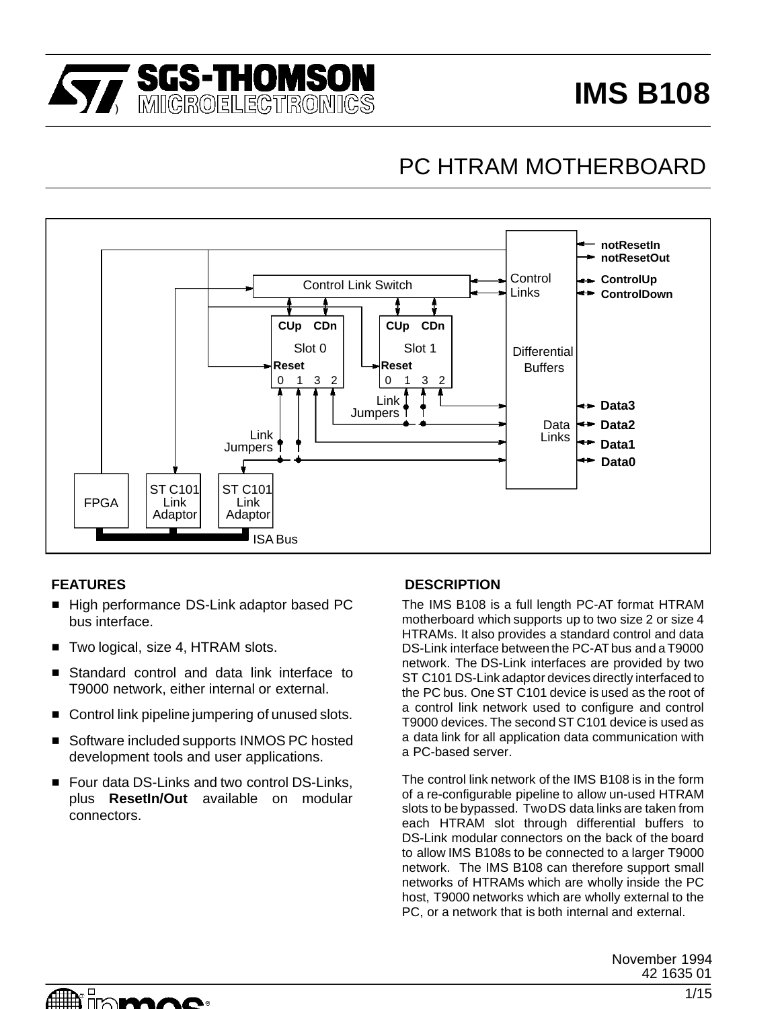

# **IMS B108**

# PC HTRAM MOTHERBOARD



- High performance DS-Link adaptor based PC bus interface.
- Two logical, size 4, HTRAM slots.
- **Standard control and data link interface to** T9000 network, either internal or external.
- Control link pipeline jumpering of unused slots.
- Software included supports INMOS PC hosted development tools and user applications.
- Four data DS-Links and two control DS-Links, plus **ResetIn/Out** available on modular connectors.

#### **FEATURES DESCRIPTION**

The IMS B108 is a full length PC-AT format HTRAM motherboard which supports up to two size 2 or size 4 HTRAMs. It also provides a standard control and data DS-Link interface between the PC-AT bus and a T9000 network. The DS-Link interfaces are provided by two ST C101 DS-Link adaptor devices directly interfaced to the PC bus. One ST C101 device is used as the root of a control link network used to configure and control T9000 devices. The second ST C101 device is used as a data link for all application data communication with a PC-based server.

The control link network of the IMS B108 is in the form of a re-configurable pipeline to allow un-used HTRAM slots to be bypassed. TwoDS data links are taken from each HTRAM slot through differential buffers to DS-Link modular connectors on the back of the board to allow IMS B108s to be connected to a larger T9000 network. The IMS B108 can therefore support small networks of HTRAMs which are wholly inside the PC host, T9000 networks which are wholly external to the PC, or a network that is both internal and external.

> November 1994 42 1635 01

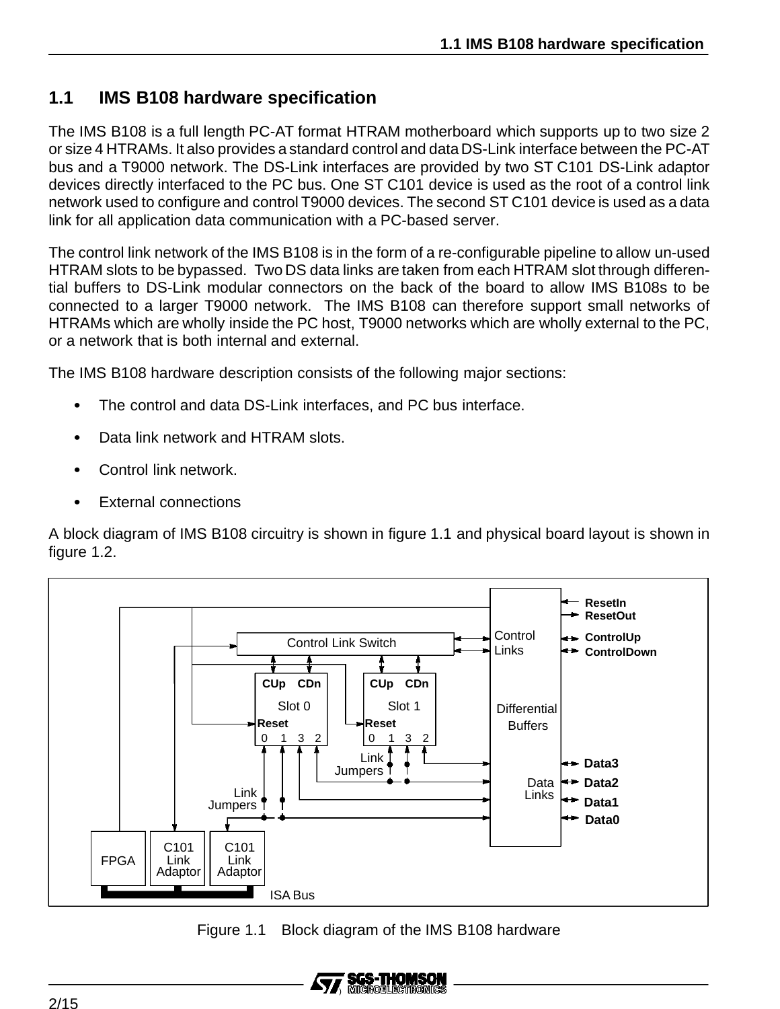# **1.1 IMS B108 hardware specification**

The IMS B108 is a full length PC-AT format HTRAM motherboard which supports up to two size 2 or size 4 HTRAMs. It also provides a standard control and data DS-Link interface between the PC-AT bus and a T9000 network. The DS-Link interfaces are provided by two ST C101 DS-Link adaptor devices directly interfaced to the PC bus. One ST C101 device is used as the root of a control link network used to configure and control T9000 devices. The second ST C101 device is used as a data link for all application data communication with a PC-based server.

The control link network of the IMS B108 is in the form of a re-configurable pipeline to allow un-used HTRAM slots to be bypassed. Two DS data links are taken from each HTRAM slot through differential buffers to DS-Link modular connectors on the back of the board to allow IMS B108s to be connected to a larger T9000 network. The IMS B108 can therefore support small networks of HTRAMs which are wholly inside the PC host, T9000 networks which are wholly external to the PC, or a network that is both internal and external.

The IMS B108 hardware description consists of the following major sections:

- $\bullet$ The control and data DS-Link interfaces, and PC bus interface.
- $\bullet$ Data link network and HTRAM slots.
- $\bullet$ Control link network.
- $\ddot{\phantom{0}}$ External connections

A block diagram of IMS B108 circuitry is shown in figure 1.1 and physical board layout is shown in figure 1.2.



Figure 1.1 Block diagram of the IMS B108 hardware

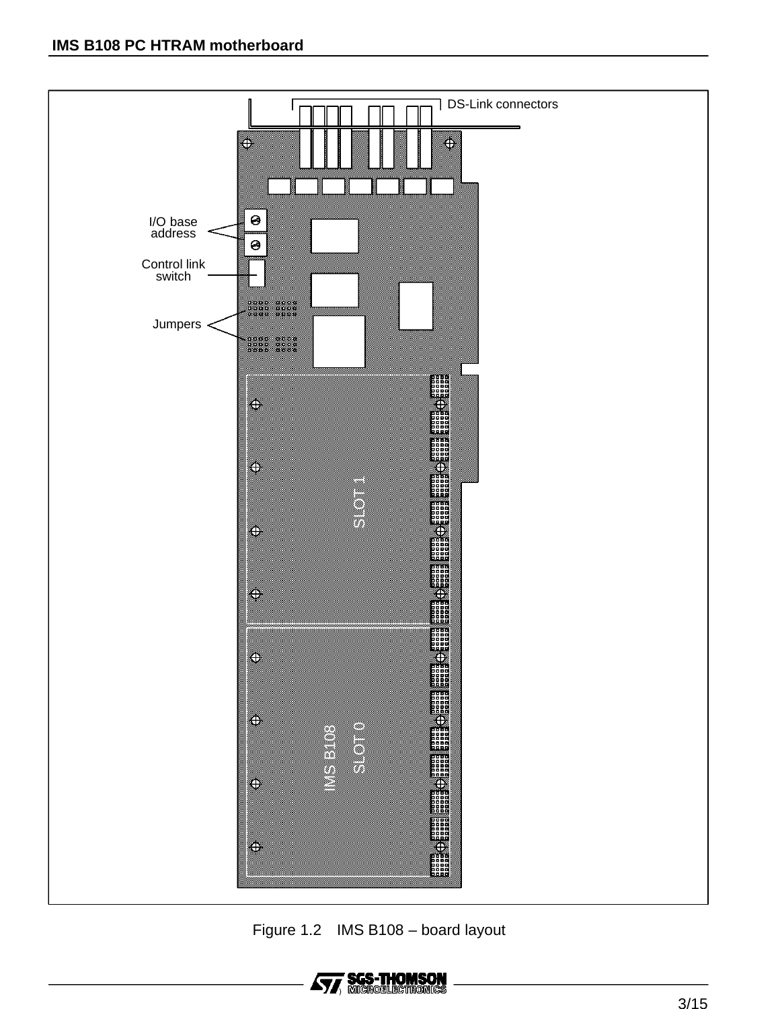

Figure 1.2 IMS B108 – board layout

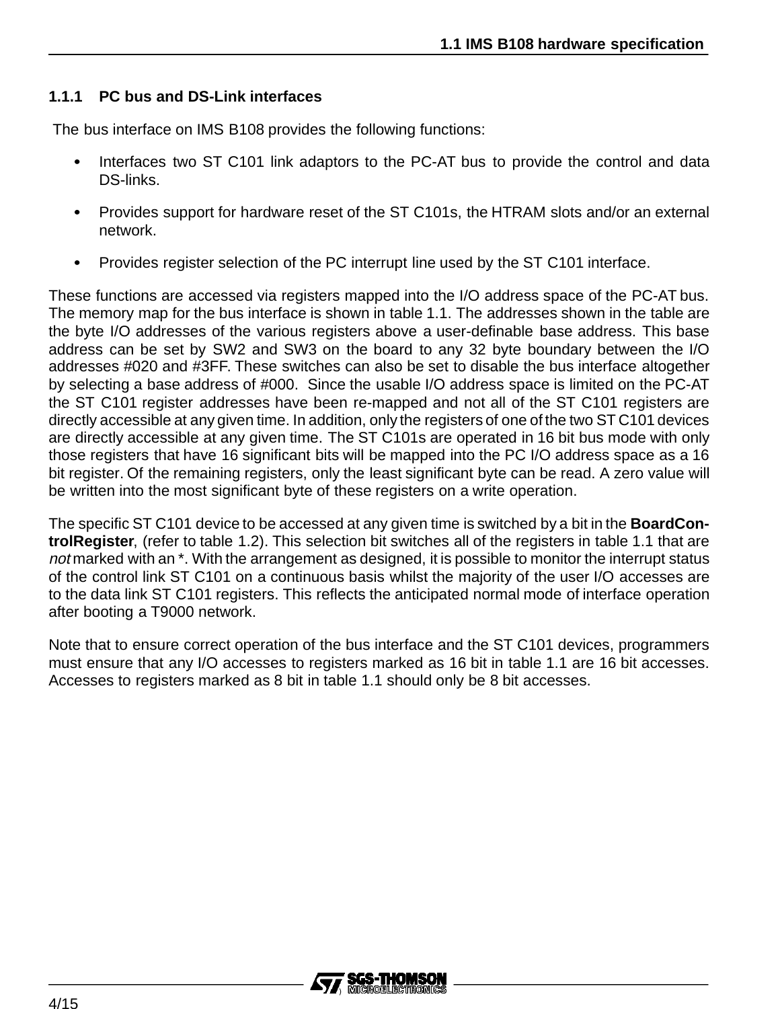#### **1.1.1 PC bus and DS-Link interfaces**

The bus interface on IMS B108 provides the following functions:

- $\bullet$  Interfaces two ST C101 link adaptors to the PC-AT bus to provide the control and data DS-links.
- $\bullet$  Provides support for hardware reset of the ST C101s, the HTRAM slots and/or an external network.
- $\ddot{\phantom{0}}$ Provides register selection of the PC interrupt line used by the ST C101 interface.

These functions are accessed via registers mapped into the I/O address space of the PC-AT bus. The memory map for the bus interface is shown in table 1.1. The addresses shown in the table are the byte I/O addresses of the various registers above a user-definable base address. This base address can be set by SW2 and SW3 on the board to any 32 byte boundary between the I/O addresses #020 and #3FF. These switches can also be set to disable the bus interface altogether by selecting a base address of #000. Since the usable I/O address space is limited on the PC-AT the ST C101 register addresses have been re-mapped and not all of the ST C101 registers are directly accessible at any given time. In addition, only the registers of one of the two ST C101 devices are directly accessible at any given time. The ST C101s are operated in 16 bit bus mode with only those registers that have 16 significant bits will be mapped into the PC I/O address space as a 16 bit register. Of the remaining registers, only the least significant byte can be read. A zero value will be written into the most significant byte of these registers on a write operation.

The specific ST C101 device to be accessed at any given time is switched by a bit in the **BoardControlRegister**, (refer to table 1.2). This selection bit switches all of the registers in table 1.1 that are not marked with an \*. With the arrangement as designed, it is possible to monitor the interrupt status of the control link ST C101 on a continuous basis whilst the majority of the user I/O accesses are to the data link ST C101 registers. This reflects the anticipated normal mode of interface operation after booting a T9000 network.

Note that to ensure correct operation of the bus interface and the ST C101 devices, programmers must ensure that any I/O accesses to registers marked as 16 bit in table 1.1 are 16 bit accesses. Accesses to registers marked as 8 bit in table 1.1 should only be 8 bit accesses.

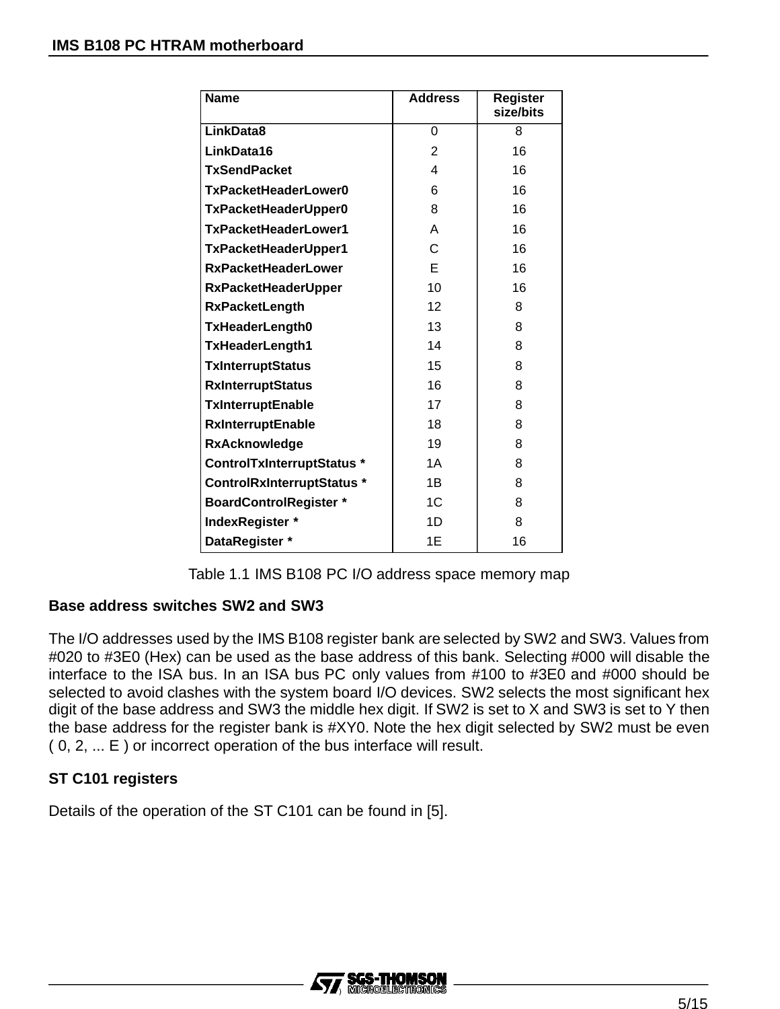| <b>Name</b>                   | <b>Address</b> | <b>Register</b><br>size/bits |
|-------------------------------|----------------|------------------------------|
| LinkData8                     | 0              | 8                            |
| LinkData16                    | $\overline{2}$ | 16                           |
| <b>TxSendPacket</b>           | 4              | 16                           |
| TxPacketHeaderLower0          | 6              | 16                           |
| TxPacketHeaderUpper0          | 8              | 16                           |
| TxPacketHeaderLower1          | A              | 16                           |
| TxPacketHeaderUpper1          | C              | 16                           |
| <b>RxPacketHeaderLower</b>    | F              | 16                           |
| <b>RxPacketHeaderUpper</b>    | 10             | 16                           |
| <b>RxPacketLength</b>         | 12             | 8                            |
| <b>TxHeaderLength0</b>        | 13             | 8                            |
| <b>TxHeaderLength1</b>        | 14             | 8                            |
| <b>TxInterruptStatus</b>      | 15             | 8                            |
| <b>RxInterruptStatus</b>      | 16             | 8                            |
| TxInterruptEnable             | 17             | 8                            |
| <b>RxInterruptEnable</b>      | 18             | 8                            |
| <b>RxAcknowledge</b>          | 19             | 8                            |
| ControlTxInterruptStatus *    | 1A             | 8                            |
| ControlRxInterruptStatus *    | 1B             | 8                            |
| <b>BoardControlRegister *</b> | 1C             | 8                            |
| IndexRegister *               | 1D             | 8                            |
| DataRegister *                | 1E             | 16                           |

Table 1.1 IMS B108 PC I/O address space memory map

#### **Base address switches SW2 and SW3**

The I/O addresses used by the IMS B108 register bank are selected by SW2 and SW3. Values from #020 to #3E0 (Hex) can be used as the base address of this bank. Selecting #000 will disable the interface to the ISA bus. In an ISA bus PC only values from #100 to #3E0 and #000 should be selected to avoid clashes with the system board I/O devices. SW2 selects the most significant hex digit of the base address and SW3 the middle hex digit. If SW2 is set to X and SW3 is set to Y then the base address for the register bank is #XY0. Note the hex digit selected by SW2 must be even ( 0, 2, ... E ) or incorrect operation of the bus interface will result.

### **ST C101 registers**

Details of the operation of the ST C101 can be found in [5].

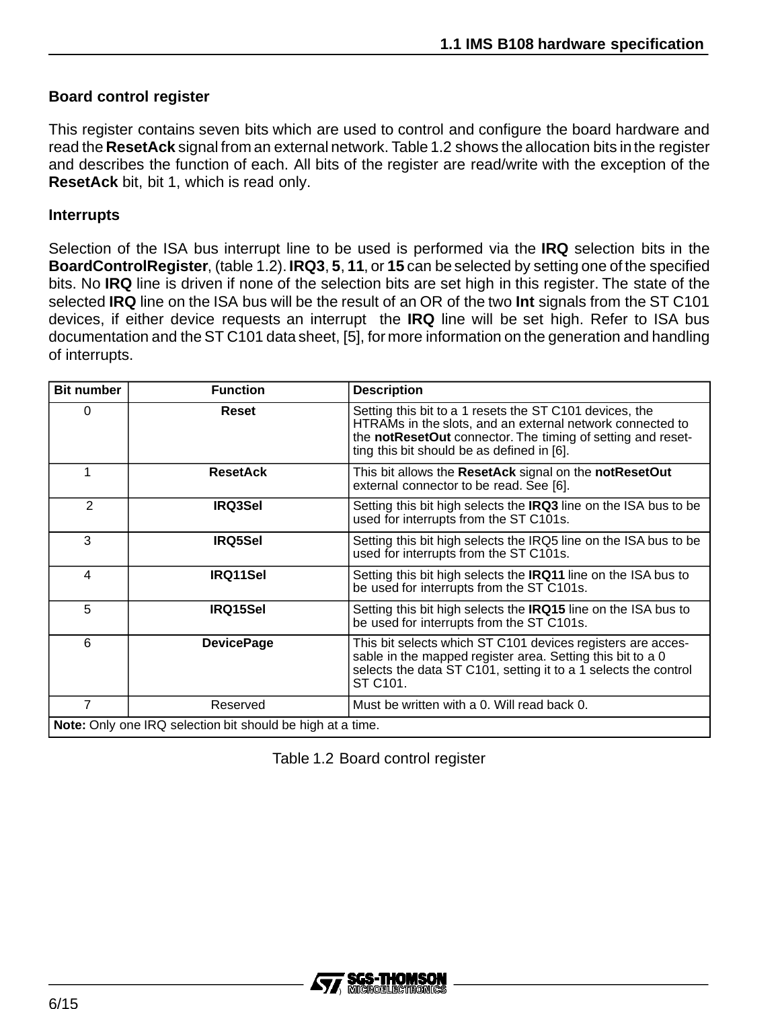#### **Board control register**

This register contains seven bits which are used to control and configure the board hardware and read the **ResetAck** signal from an external network. Table 1.2 shows the allocation bits in the register and describes the function of each. All bits of the register are read/write with the exception of the **ResetAck** bit, bit 1, which is read only.

#### **Interrupts**

Selection of the ISA bus interrupt line to be used is performed via the **IRQ** selection bits in the **BoardControlRegister**, (table 1.2). **IRQ3**, **5**, **11**, or **15** can be selected by setting one of the specified bits. No **IRQ** line is driven if none of the selection bits are set high in this register. The state of the selected **IRQ** line on the ISA bus will be the result of an OR of the two **Int** signals from the ST C101 devices, if either device requests an interrupt the **IRQ** line will be set high. Refer to ISA bus documentation and the ST C101 data sheet, [5], for more information on the generation and handling of interrupts.

| <b>Bit number</b>                                                 | <b>Function</b>   | <b>Description</b>                                                                                                                                                                                                                |  |
|-------------------------------------------------------------------|-------------------|-----------------------------------------------------------------------------------------------------------------------------------------------------------------------------------------------------------------------------------|--|
| 0                                                                 | <b>Reset</b>      | Setting this bit to a 1 resets the ST C101 devices, the<br>HTRAMs in the slots, and an external network connected to<br>the notResetOut connector. The timing of setting and reset-<br>ting this bit should be as defined in [6]. |  |
|                                                                   | <b>ResetAck</b>   | This bit allows the ResetAck signal on the notResetOut<br>external connector to be read. See [6].                                                                                                                                 |  |
| $\overline{2}$                                                    | <b>IRQ3Sel</b>    | Setting this bit high selects the IRQ3 line on the ISA bus to be<br>used for interrupts from the ST C101s.                                                                                                                        |  |
| 3                                                                 | <b>IRQ5Sel</b>    | Setting this bit high selects the IRQ5 line on the ISA bus to be<br>used for interrupts from the ST C101s.                                                                                                                        |  |
| 4                                                                 | IRQ11Sel          | Setting this bit high selects the <b>IRQ11</b> line on the ISA bus to<br>be used for interrupts from the ST C101s.                                                                                                                |  |
| 5                                                                 | <b>IRQ15Sel</b>   | Setting this bit high selects the <b>IRQ15</b> line on the ISA bus to<br>be used for interrupts from the ST C101s.                                                                                                                |  |
| 6                                                                 | <b>DevicePage</b> | This bit selects which ST C101 devices registers are acces-<br>sable in the mapped register area. Setting this bit to a 0<br>selects the data ST C101, setting it to a 1 selects the control<br>ST C101.                          |  |
| $\overline{7}$                                                    | Reserved          | Must be written with a 0. Will read back 0.                                                                                                                                                                                       |  |
| <b>Note:</b> Only one IRQ selection bit should be high at a time. |                   |                                                                                                                                                                                                                                   |  |

Table 1.2 Board control register

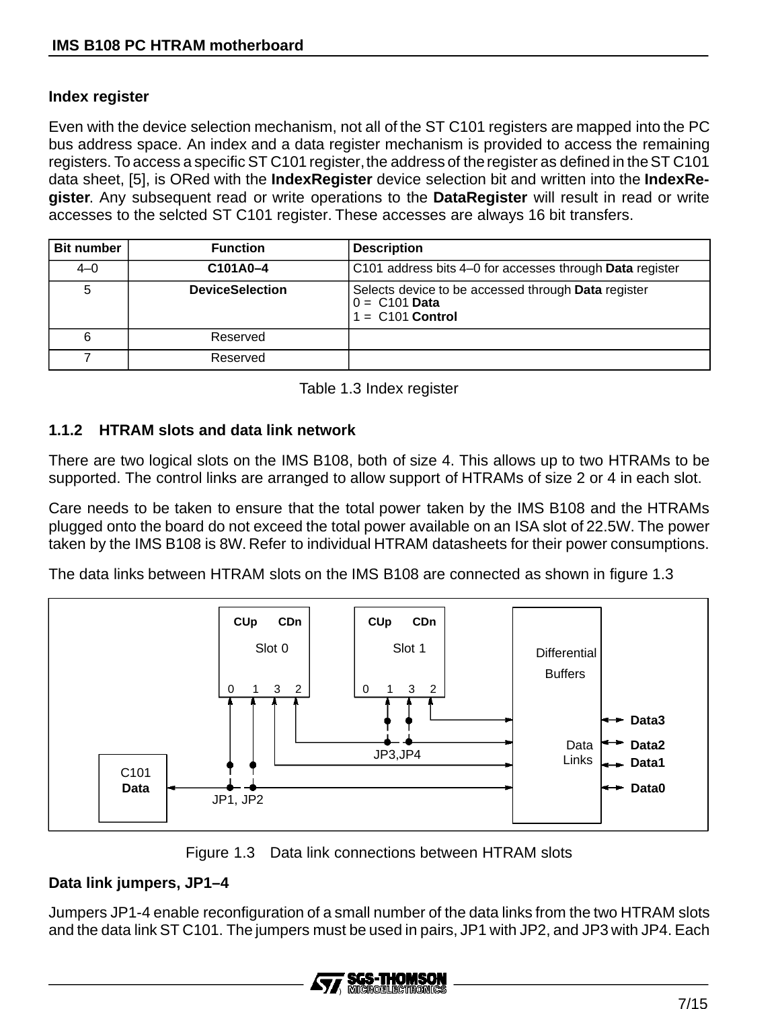#### **Index register**

Even with the device selection mechanism, not all of the ST C101 registers are mapped into the PC bus address space. An index and a data register mechanism is provided to access the remaining registers. To access a specific ST C101 register,the address of the register as defined in the ST C101 data sheet, [5], is ORed with the **IndexRegister** device selection bit and written into the **IndexRegister**. Any subsequent read or write operations to the **DataRegister** will result in read or write accesses to the selcted ST C101 register. These accesses are always 16 bit transfers.

| <b>Bit number</b> | <b>Function</b>        | <b>Description</b>                                                                           |
|-------------------|------------------------|----------------------------------------------------------------------------------------------|
| $4 - 0$           | C101A0-4               | C101 address bits 4–0 for accesses through Data register                                     |
| 5                 | <b>DeviceSelection</b> | Selects device to be accessed through Data register<br>$0 = C101$ Data<br>$1 = C101$ Control |
| 6                 | Reserved               |                                                                                              |
|                   | Reserved               |                                                                                              |

Table 1.3 Index register

#### **1.1.2 HTRAM slots and data link network**

There are two logical slots on the IMS B108, both of size 4. This allows up to two HTRAMs to be supported. The control links are arranged to allow support of HTRAMs of size 2 or 4 in each slot.

Care needs to be taken to ensure that the total power taken by the IMS B108 and the HTRAMs plugged onto the board do not exceed the total power available on an ISA slot of 22.5W. The power taken by the IMS B108 is 8W. Refer to individual HTRAM datasheets for their power consumptions.

The data links between HTRAM slots on the IMS B108 are connected as shown in figure 1.3



Figure 1.3 Data link connections between HTRAM slots

### **Data link jumpers, JP1–4**

Jumpers JP1-4 enable reconfiguration of a small number of the data links from the two HTRAM slots and the data link ST C101. The jumpers must be used in pairs, JP1 with JP2, and JP3 with JP4. Each

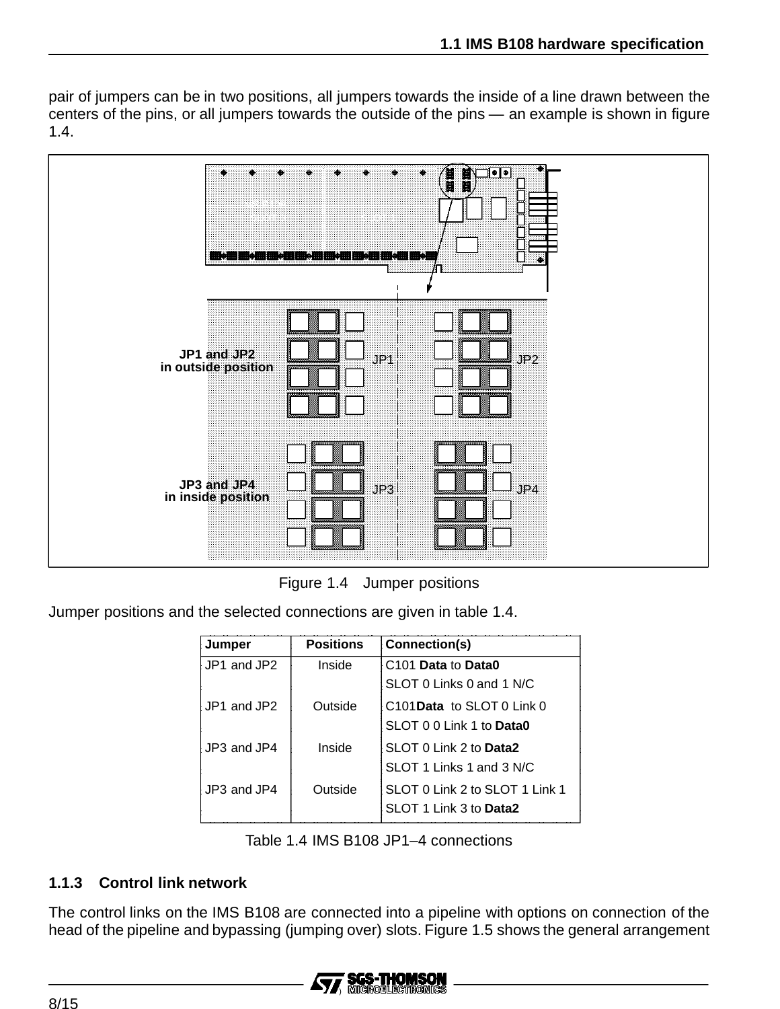pair of jumpers can be in two positions, all jumpers towards the inside of a line drawn between the centers of the pins, or all jumpers towards the outside of the pins — an example is shown in figure 1.4.



Figure 1.4 Jumper positions

Jumper positions and the selected connections are given in table 1.4.

| Jumper      | <b>Positions</b> | Connection(s)                  |
|-------------|------------------|--------------------------------|
| JP1 and JP2 | Inside           | C <sub>101</sub> Data to Data0 |
|             |                  | SLOT 0 Links 0 and 1 N/C       |
| JP1 and JP2 | Outside          | C101 Data to SLOT 0 Link 0     |
|             |                  | SLOT 0 0 Link 1 to Data0       |
| JP3 and JP4 | Inside           | SLOT 0 Link 2 to Data2         |
|             |                  | SLOT 1 Links 1 and 3 N/C       |
| JP3 and JP4 | Outside          | SLOT 0 Link 2 to SLOT 1 Link 1 |
|             |                  | SLOT 1 Link 3 to Data2         |

Table 1.4 IMS B108 JP1–4 connections

#### **1.1.3 Control link network**

The control links on the IMS B108 are connected into a pipeline with options on connection of the head of the pipeline and bypassing (jumping over) slots. Figure 1.5 shows the general arrangement

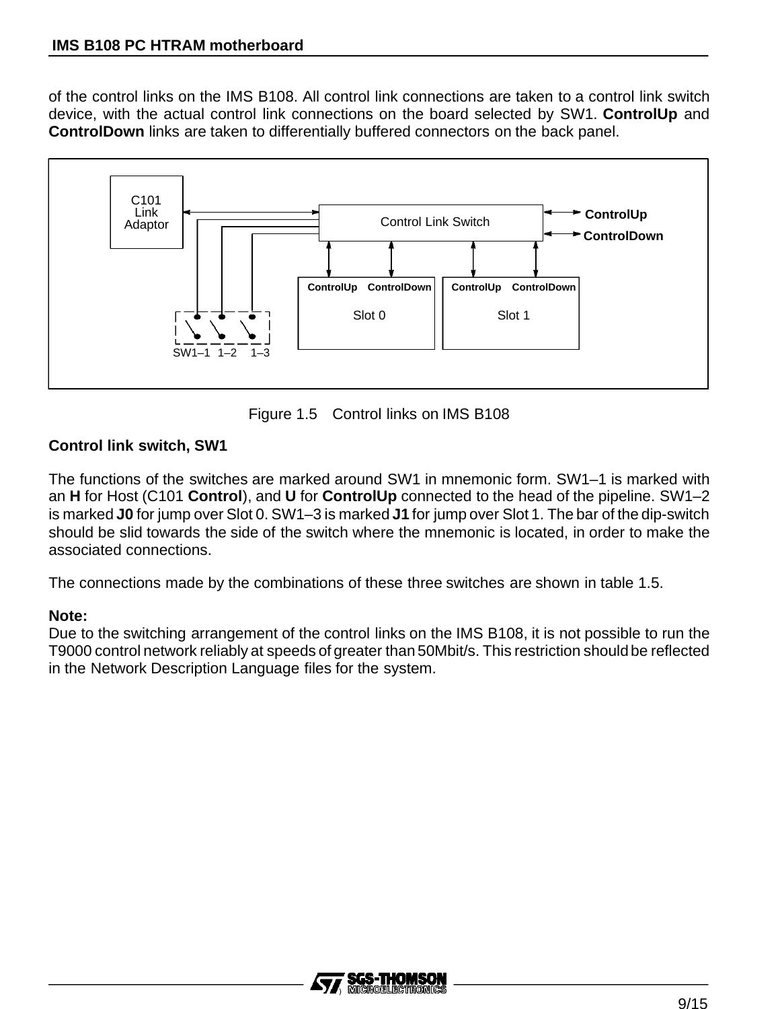of the control links on the IMS B108. All control link connections are taken to a control link switch device, with the actual control link connections on the board selected by SW1. **ControlUp** and **ControlDown** links are taken to differentially buffered connectors on the back panel.



Figure 1.5 Control links on IMS B108

### **Control link switch, SW1**

The functions of the switches are marked around SW1 in mnemonic form. SW1–1 is marked with an **H** for Host (C101 **Control**), and **U** for **ControlUp** connected to the head of the pipeline. SW1–2 is marked **J0** for jump over Slot 0. SW1–3 is marked **J1** for jump over Slot 1. The bar of the dip-switch should be slid towards the side of the switch where the mnemonic is located, in order to make the associated connections.

The connections made by the combinations of these three switches are shown in table 1.5.

#### **Note:**

Due to the switching arrangement of the control links on the IMS B108, it is not possible to run the T9000 control network reliably at speeds of greater than 50Mbit/s. This restriction should be reflected in the Network Description Language files for the system.

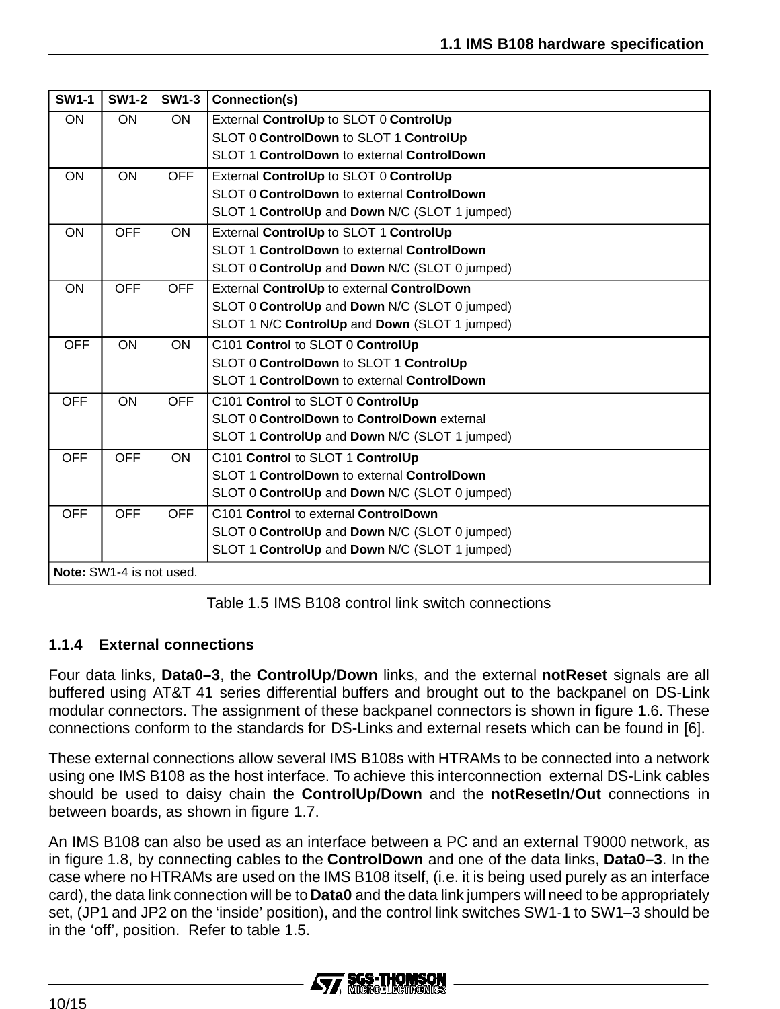| <b>SW1-1</b> | <b>SW1-2</b>             | <b>SW1-3</b> | Connection(s)                                 |
|--------------|--------------------------|--------------|-----------------------------------------------|
| ON           | ON                       | <b>ON</b>    | External ControlUp to SLOT 0 ControlUp        |
|              |                          |              | SLOT 0 ControlDown to SLOT 1 ControlUp        |
|              |                          |              | SLOT 1 ControlDown to external ControlDown    |
| ON           | ON                       | <b>OFF</b>   | External ControlUp to SLOT 0 ControlUp        |
|              |                          |              | SLOT 0 ControlDown to external ControlDown    |
|              |                          |              | SLOT 1 ControlUp and Down N/C (SLOT 1 jumped) |
| ON           | <b>OFF</b>               | ON           | External ControlUp to SLOT 1 ControlUp        |
|              |                          |              | SLOT 1 ControlDown to external ControlDown    |
|              |                          |              | SLOT 0 ControlUp and Down N/C (SLOT 0 jumped) |
| <b>ON</b>    | <b>OFF</b>               | <b>OFF</b>   | External ControlUp to external ControlDown    |
|              |                          |              | SLOT 0 ControlUp and Down N/C (SLOT 0 jumped) |
|              |                          |              | SLOT 1 N/C ControlUp and Down (SLOT 1 jumped) |
| <b>OFF</b>   | ON                       | ON           | C101 Control to SLOT 0 ControlUp              |
|              |                          |              | SLOT 0 ControlDown to SLOT 1 ControlUp        |
|              |                          |              | SLOT 1 ControlDown to external ControlDown    |
| <b>OFF</b>   | <b>ON</b>                | <b>OFF</b>   | C101 Control to SLOT 0 ControlUp              |
|              |                          |              | SLOT 0 ControlDown to ControlDown external    |
|              |                          |              | SLOT 1 ControlUp and Down N/C (SLOT 1 jumped) |
| <b>OFF</b>   | <b>OFF</b>               | <b>ON</b>    | C101 Control to SLOT 1 ControlUp              |
|              |                          |              | SLOT 1 ControlDown to external ControlDown    |
|              |                          |              | SLOT 0 ControlUp and Down N/C (SLOT 0 jumped) |
| <b>OFF</b>   | <b>OFF</b>               | <b>OFF</b>   | C101 Control to external ControlDown          |
|              |                          |              | SLOT 0 ControlUp and Down N/C (SLOT 0 jumped) |
|              |                          |              | SLOT 1 ControlUp and Down N/C (SLOT 1 jumped) |
|              | Note: SW1-4 is not used. |              |                                               |

Table 1.5 IMS B108 control link switch connections

### **1.1.4 External connections**

Four data links, **Data0–3**, the **ControlUp**/**Down** links, and the external **notReset** signals are all buffered using AT&T 41 series differential buffers and brought out to the backpanel on DS-Link modular connectors. The assignment of these backpanel connectors is shown in figure 1.6. These connections conform to the standards for DS-Links and external resets which can be found in [6].

These external connections allow several IMS B108s with HTRAMs to be connected into a network using one IMS B108 as the host interface. To achieve this interconnection external DS-Link cables should be used to daisy chain the **ControlUp/Down** and the **notResetIn**/**Out** connections in between boards, as shown in figure 1.7.

An IMS B108 can also be used as an interface between a PC and an external T9000 network, as in figure 1.8, by connecting cables to the **ControlDown** and one of the data links, **Data0–3**. In the case where no HTRAMs are used on the IMS B108 itself, (i.e. it is being used purely as an interface card), the data link connection will be to **Data0** and the data link jumpers will need to be appropriately set, (JP1 and JP2 on the 'inside' position), and the control link switches SW1-1 to SW1–3 should be in the 'off', position. Refer to table 1.5.

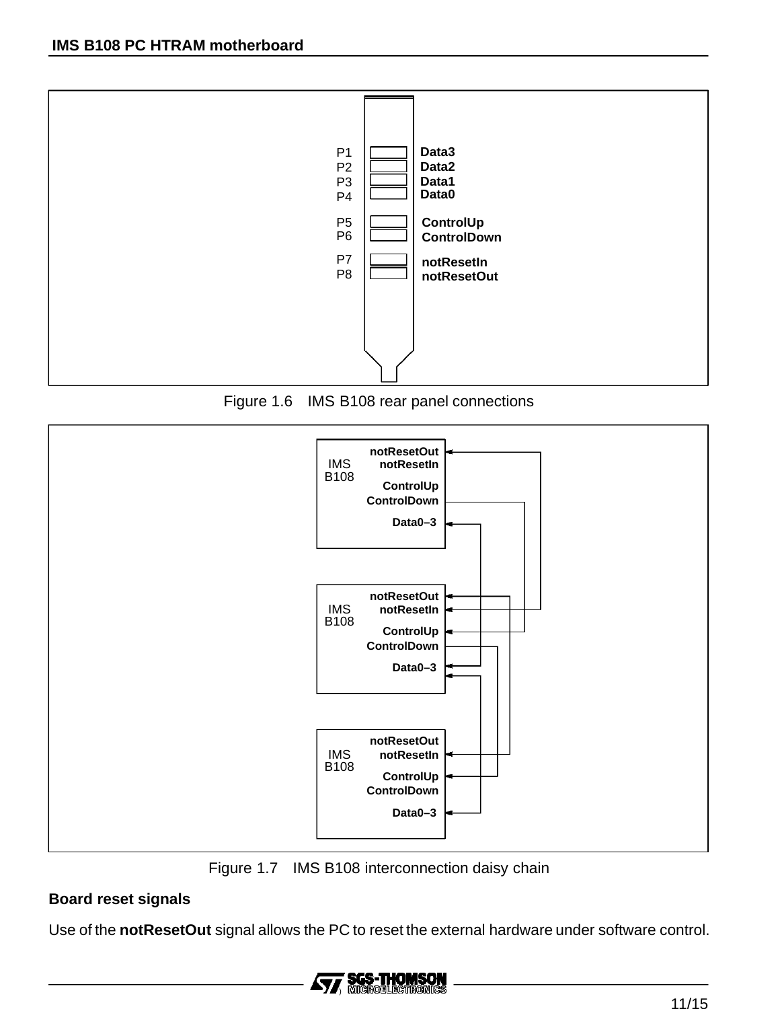





Figure 1.7 IMS B108 interconnection daisy chain

#### **Board reset signals**

Use of the **notResetOut** signal allows the PC to reset the external hardware under software control.

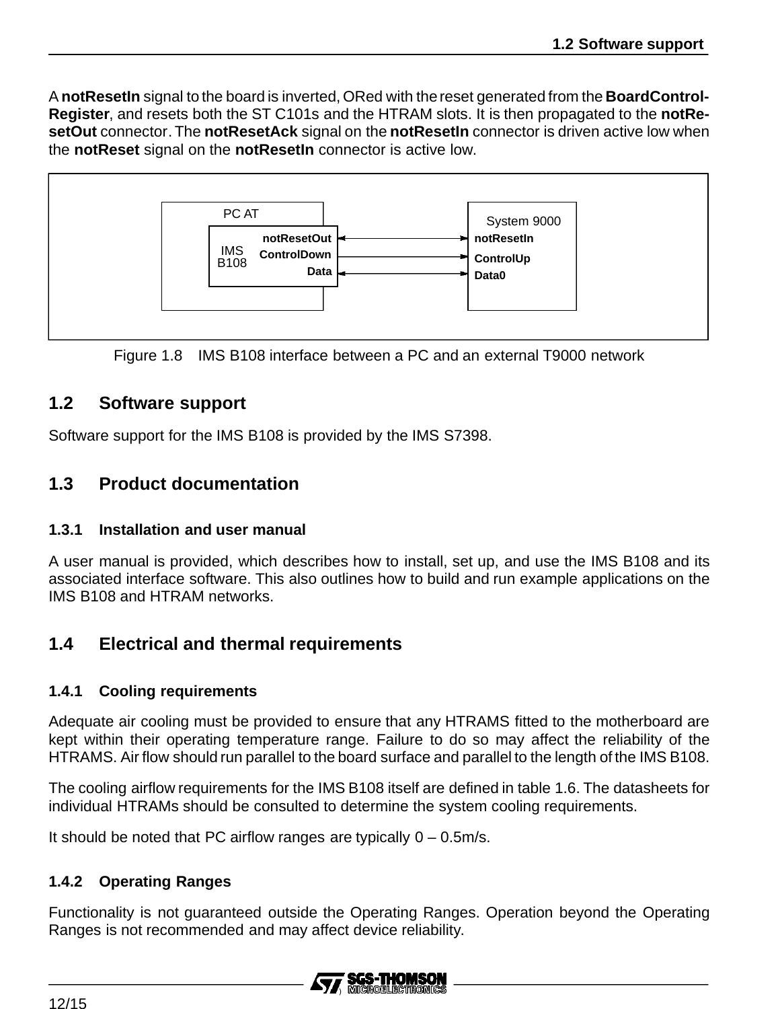A **notResetIn** signal to the board is inverted, ORed with the reset generated from the **BoardControl-Register**, and resets both the ST C101s and the HTRAM slots. It is then propagated to the **notResetOut** connector. The **notResetAck** signal on the **notResetIn** connector is driven active low when the **notReset** signal on the **notResetIn** connector is active low.



Figure 1.8 IMS B108 interface between a PC and an external T9000 network

# **1.2 Software support**

Software support for the IMS B108 is provided by the IMS S7398.

# **1.3 Product documentation**

#### **1.3.1 Installation and user manual**

A user manual is provided, which describes how to install, set up, and use the IMS B108 and its associated interface software. This also outlines how to build and run example applications on the IMS B108 and HTRAM networks.

## **1.4 Electrical and thermal requirements**

#### **1.4.1 Cooling requirements**

Adequate air cooling must be provided to ensure that any HTRAMS fitted to the motherboard are kept within their operating temperature range. Failure to do so may affect the reliability of the HTRAMS. Air flow should run parallel to the board surface and parallel to the length of the IMS B108.

The cooling airflow requirements for the IMS B108 itself are defined in table 1.6. The datasheets for individual HTRAMs should be consulted to determine the system cooling requirements.

It should be noted that PC airflow ranges are typically  $0 - 0.5$ m/s.

#### **1.4.2 Operating Ranges**

Functionality is not guaranteed outside the Operating Ranges. Operation beyond the Operating Ranges is not recommended and may affect device reliability.

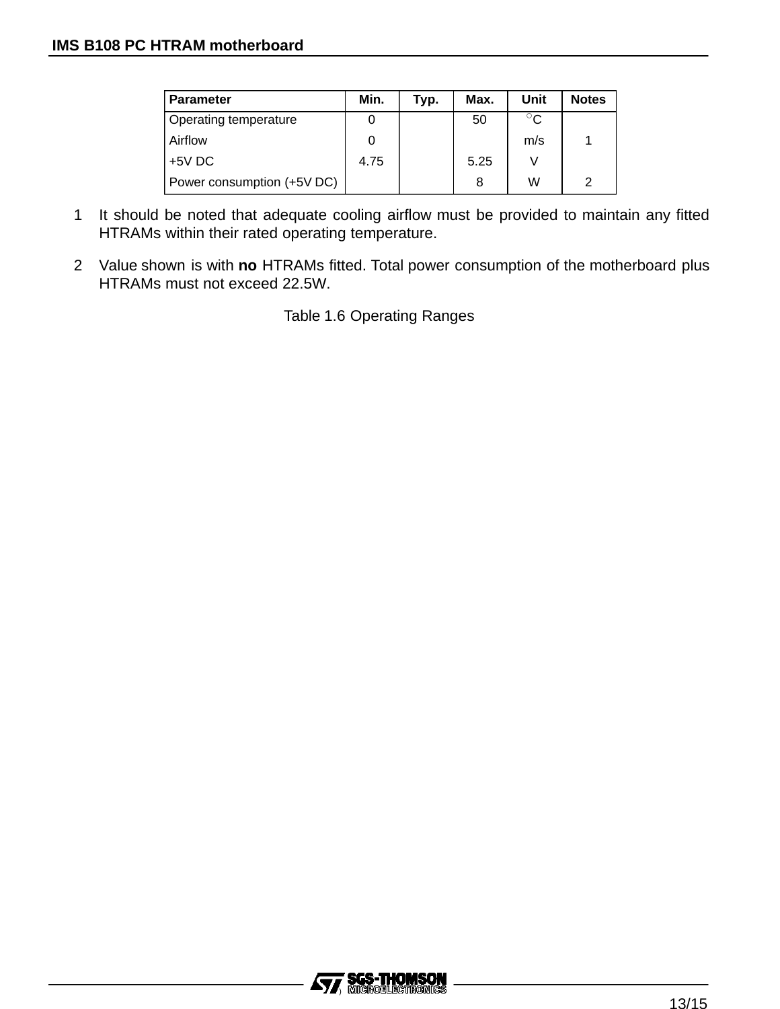| <b>Parameter</b>             | Min. | Typ. | Max. | Unit         | <b>Notes</b> |
|------------------------------|------|------|------|--------------|--------------|
| <b>Operating temperature</b> |      |      | 50   | $^{\circ}$ C |              |
| Airflow                      |      |      |      | m/s          |              |
| $+5V$ DC                     | 4.75 |      | 5.25 |              |              |
| Power consumption (+5V DC)   |      |      | 8    | W            | 2            |

- 1 It should be noted that adequate cooling airflow must be provided to maintain any fitted HTRAMs within their rated operating temperature.
- 2 Value shown is with **no** HTRAMs fitted. Total power consumption of the motherboard plus HTRAMs must not exceed 22.5W.

Table 1.6 Operating Ranges

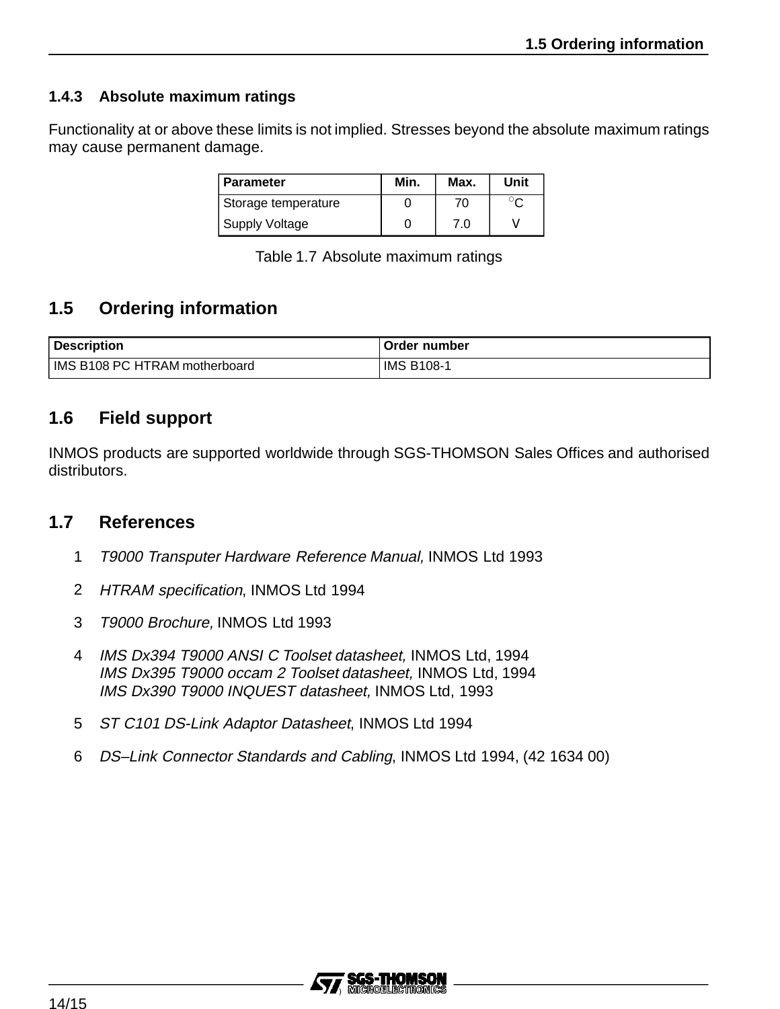### **1.4.3 Absolute maximum ratings**

Functionality at or above these limits is not implied. Stresses beyond the absolute maximum ratings may cause permanent damage.

| <b>Parameter</b>      | Min. | Max. | Unit |
|-----------------------|------|------|------|
| Storage temperature   |      | 70   |      |
| <b>Supply Voltage</b> |      | 7.0  |      |

Table 1.7 Absolute maximum ratings

# **1.5 Ordering information**

| Description                   | Order number |
|-------------------------------|--------------|
| IMS B108 PC HTRAM motherboard | IMS B108-    |

# **1.6 Field support**

INMOS products are supported worldwide through SGS-THOMSON Sales Offices and authorised distributors.

### **1.7 References**

- 1 T9000 Transputer Hardware Reference Manual, INMOS Ltd 1993
- 2 HTRAM specification, INMOS Ltd 1994
- 3 T9000 Brochure, INMOS Ltd 1993
- 4 IMS Dx394 T9000 ANSI C Toolset datasheet, INMOS Ltd, 1994 IMS Dx395 T9000 occam 2 Toolset datasheet, INMOS Ltd, 1994 IMS Dx390 T9000 INQUEST datasheet, INMOS Ltd, 1993
- 5 ST C101 DS-Link Adaptor Datasheet, INMOS Ltd 1994
- 6 DS–Link Connector Standards and Cabling, INMOS Ltd 1994, (42 1634 00)